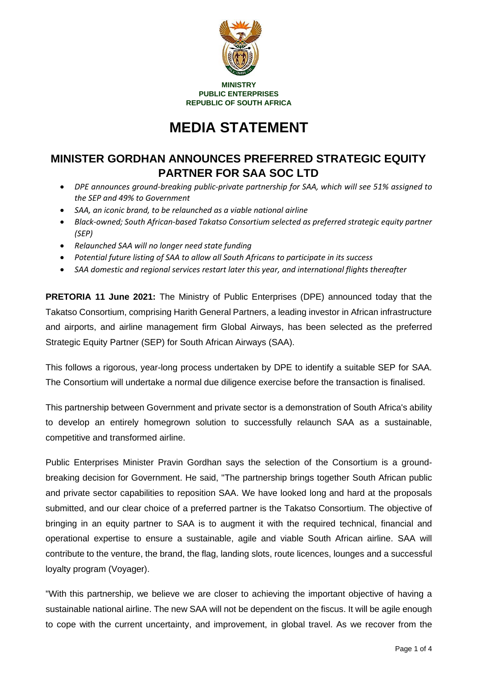

**MINISTRY PUBLIC ENTERPRISES REPUBLIC OF SOUTH AFRICA**

# **MEDIA STATEMENT**

## **MINISTER GORDHAN ANNOUNCES PREFERRED STRATEGIC EQUITY PARTNER FOR SAA SOC LTD**

- *DPE announces ground-breaking public-private partnership for SAA, which will see 51% assigned to the SEP and 49% to Government*
- *SAA, an iconic brand, to be relaunched as a viable national airline*
- *Black-owned; South African-based Takatso Consortium selected as preferred strategic equity partner (SEP)*
- *Relaunched SAA will no longer need state funding*
- *Potential future listing of SAA to allow all South Africans to participate in its success*
- *SAA domestic and regional services restart later this year, and international flights thereafter*

**PRETORIA 11 June 2021:** The Ministry of Public Enterprises (DPE) announced today that the Takatso Consortium, comprising Harith General Partners, a leading investor in African infrastructure and airports, and airline management firm Global Airways, has been selected as the preferred Strategic Equity Partner (SEP) for South African Airways (SAA).

This follows a rigorous, year-long process undertaken by DPE to identify a suitable SEP for SAA. The Consortium will undertake a normal due diligence exercise before the transaction is finalised.

This partnership between Government and private sector is a demonstration of South Africa's ability to develop an entirely homegrown solution to successfully relaunch SAA as a sustainable, competitive and transformed airline.

Public Enterprises Minister Pravin Gordhan says the selection of the Consortium is a groundbreaking decision for Government. He said, "The partnership brings together South African public and private sector capabilities to reposition SAA. We have looked long and hard at the proposals submitted, and our clear choice of a preferred partner is the Takatso Consortium. The objective of bringing in an equity partner to SAA is to augment it with the required technical, financial and operational expertise to ensure a sustainable, agile and viable South African airline. SAA will contribute to the venture, the brand, the flag, landing slots, route licences, lounges and a successful loyalty program (Voyager).

"With this partnership, we believe we are closer to achieving the important objective of having a sustainable national airline. The new SAA will not be dependent on the fiscus. It will be agile enough to cope with the current uncertainty, and improvement, in global travel. As we recover from the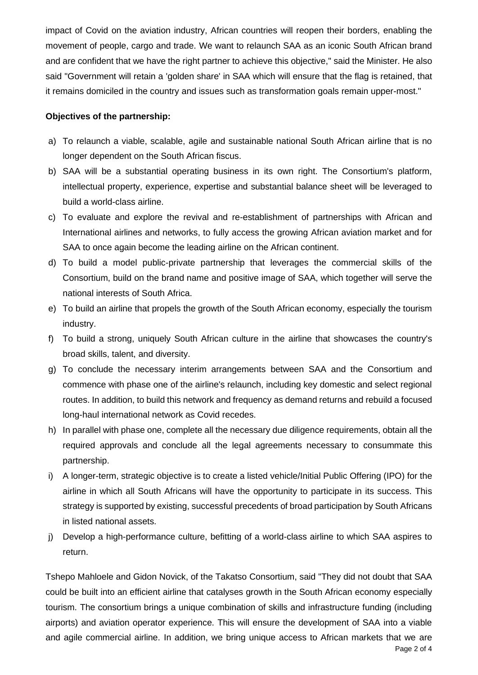impact of Covid on the aviation industry, African countries will reopen their borders, enabling the movement of people, cargo and trade. We want to relaunch SAA as an iconic South African brand and are confident that we have the right partner to achieve this objective," said the Minister. He also said "Government will retain a 'golden share' in SAA which will ensure that the flag is retained, that it remains domiciled in the country and issues such as transformation goals remain upper-most."

#### **Objectives of the partnership:**

- a) To relaunch a viable, scalable, agile and sustainable national South African airline that is no longer dependent on the South African fiscus.
- b) SAA will be a substantial operating business in its own right. The Consortium's platform, intellectual property, experience, expertise and substantial balance sheet will be leveraged to build a world-class airline.
- c) To evaluate and explore the revival and re-establishment of partnerships with African and International airlines and networks, to fully access the growing African aviation market and for SAA to once again become the leading airline on the African continent.
- d) To build a model public-private partnership that leverages the commercial skills of the Consortium, build on the brand name and positive image of SAA, which together will serve the national interests of South Africa.
- e) To build an airline that propels the growth of the South African economy, especially the tourism industry.
- f) To build a strong, uniquely South African culture in the airline that showcases the country's broad skills, talent, and diversity.
- g) To conclude the necessary interim arrangements between SAA and the Consortium and commence with phase one of the airline's relaunch, including key domestic and select regional routes. In addition, to build this network and frequency as demand returns and rebuild a focused long-haul international network as Covid recedes.
- h) In parallel with phase one, complete all the necessary due diligence requirements, obtain all the required approvals and conclude all the legal agreements necessary to consummate this partnership.
- i) A longer-term, strategic objective is to create a listed vehicle/Initial Public Offering (IPO) for the airline in which all South Africans will have the opportunity to participate in its success. This strategy is supported by existing, successful precedents of broad participation by South Africans in listed national assets.
- j) Develop a high-performance culture, befitting of a world-class airline to which SAA aspires to return.

Page 2 of 4 Tshepo Mahloele and Gidon Novick, of the Takatso Consortium, said "They did not doubt that SAA could be built into an efficient airline that catalyses growth in the South African economy especially tourism. The consortium brings a unique combination of skills and infrastructure funding (including airports) and aviation operator experience. This will ensure the development of SAA into a viable and agile commercial airline. In addition, we bring unique access to African markets that we are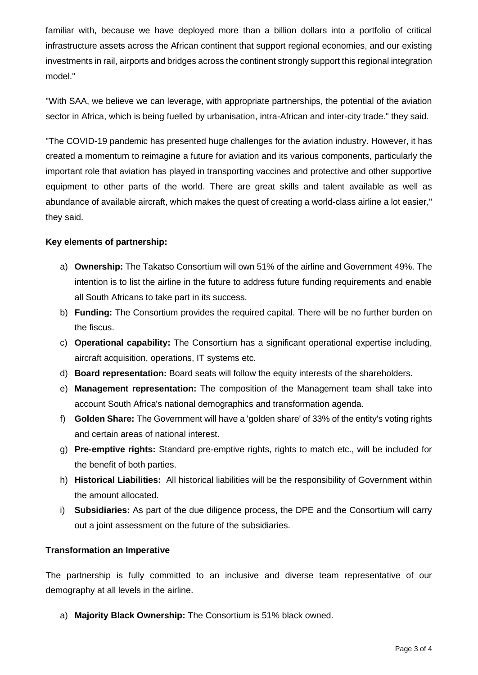familiar with, because we have deployed more than a billion dollars into a portfolio of critical infrastructure assets across the African continent that support regional economies, and our existing investments in rail, airports and bridges across the continent strongly support this regional integration model."

"With SAA, we believe we can leverage, with appropriate partnerships, the potential of the aviation sector in Africa, which is being fuelled by urbanisation, intra-African and inter-city trade." they said.

"The COVID-19 pandemic has presented huge challenges for the aviation industry. However, it has created a momentum to reimagine a future for aviation and its various components, particularly the important role that aviation has played in transporting vaccines and protective and other supportive equipment to other parts of the world. There are great skills and talent available as well as abundance of available aircraft, which makes the quest of creating a world-class airline a lot easier," they said.

### **Key elements of partnership:**

- a) **Ownership:** The Takatso Consortium will own 51% of the airline and Government 49%. The intention is to list the airline in the future to address future funding requirements and enable all South Africans to take part in its success.
- b) **Funding:** The Consortium provides the required capital. There will be no further burden on the fiscus.
- c) **Operational capability:** The Consortium has a significant operational expertise including, aircraft acquisition, operations, IT systems etc.
- d) **Board representation:** Board seats will follow the equity interests of the shareholders.
- e) **Management representation:** The composition of the Management team shall take into account South Africa's national demographics and transformation agenda.
- f) **Golden Share:** The Government will have a 'golden share' of 33% of the entity's voting rights and certain areas of national interest.
- g) **Pre-emptive rights:** Standard pre-emptive rights, rights to match etc., will be included for the benefit of both parties.
- h) **Historical Liabilities:** All historical liabilities will be the responsibility of Government within the amount allocated.
- i) **Subsidiaries:** As part of the due diligence process, the DPE and the Consortium will carry out a joint assessment on the future of the subsidiaries.

### **Transformation an Imperative**

The partnership is fully committed to an inclusive and diverse team representative of our demography at all levels in the airline.

a) **Majority Black Ownership:** The Consortium is 51% black owned.